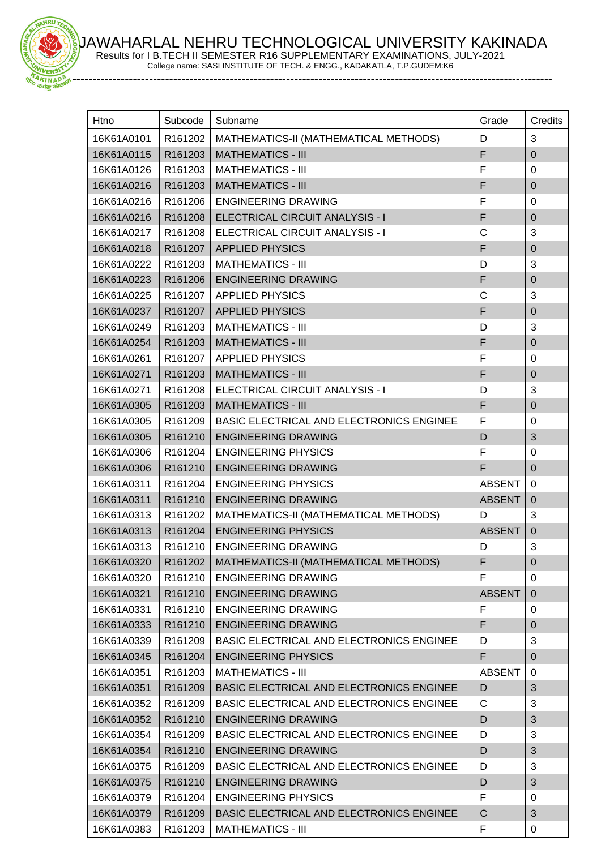JAWAHARLAL NEHRU TECHNOLOGICAL UNIVERSITY KAKINADA Results for I B.TECH II SEMESTER R16 SUPPLEMENTARY EXAMINATIONS, JULY-2021



College name: SASI INSTITUTE OF TECH. & ENGG., KADAKATLA, T.P.GUDEM:K6

-----------------------------------------------------------------------------------------------------------------------

| Htno       | Subcode             | Subname                                         | Grade         | Credits                    |
|------------|---------------------|-------------------------------------------------|---------------|----------------------------|
| 16K61A0101 | R161202             | MATHEMATICS-II (MATHEMATICAL METHODS)           | D             | 3                          |
| 16K61A0115 | R161203             | <b>MATHEMATICS - III</b>                        | F             | $\mathbf 0$                |
| 16K61A0126 | R161203             | <b>MATHEMATICS - III</b>                        | F             | 0                          |
| 16K61A0216 | R161203             | <b>MATHEMATICS - III</b>                        | F             | $\mathbf 0$                |
| 16K61A0216 | R161206             | <b>ENGINEERING DRAWING</b>                      | F             | 0                          |
| 16K61A0216 | R161208             | ELECTRICAL CIRCUIT ANALYSIS - I                 | F             | $\mathbf 0$                |
| 16K61A0217 | R161208             | ELECTRICAL CIRCUIT ANALYSIS - I                 | C             | 3                          |
| 16K61A0218 | R161207             | <b>APPLIED PHYSICS</b>                          | F             | 0                          |
| 16K61A0222 | R161203             | <b>MATHEMATICS - III</b>                        | D             | 3                          |
| 16K61A0223 | R161206             | <b>ENGINEERING DRAWING</b>                      | F             | $\pmb{0}$                  |
| 16K61A0225 | R161207             | <b>APPLIED PHYSICS</b>                          | C             | 3                          |
| 16K61A0237 | R161207             | <b>APPLIED PHYSICS</b>                          | F             | $\mathbf 0$                |
| 16K61A0249 | R161203             | <b>MATHEMATICS - III</b>                        | D             | 3                          |
| 16K61A0254 | R161203             | <b>MATHEMATICS - III</b>                        | F             | $\mathbf 0$                |
| 16K61A0261 | R161207             | <b>APPLIED PHYSICS</b>                          | F             | 0                          |
| 16K61A0271 | R161203             | <b>MATHEMATICS - III</b>                        | F             | $\mathbf 0$                |
| 16K61A0271 | R161208             | <b>ELECTRICAL CIRCUIT ANALYSIS - I</b>          | D             | 3                          |
|            |                     | <b>MATHEMATICS - III</b>                        | F             |                            |
| 16K61A0305 | R161203             |                                                 | F             | $\mathbf 0$<br>$\mathbf 0$ |
| 16K61A0305 | R161209             | <b>BASIC ELECTRICAL AND ELECTRONICS ENGINEE</b> |               |                            |
| 16K61A0305 | R161210             | <b>ENGINEERING DRAWING</b>                      | D             | 3                          |
| 16K61A0306 | R161204             | <b>ENGINEERING PHYSICS</b>                      | F<br>F        | 0                          |
| 16K61A0306 | R161210             | <b>ENGINEERING DRAWING</b>                      |               | $\mathbf 0$                |
| 16K61A0311 | R161204             | <b>ENGINEERING PHYSICS</b>                      | <b>ABSENT</b> | 0                          |
| 16K61A0311 | R161210             | <b>ENGINEERING DRAWING</b>                      | <b>ABSENT</b> | $\mathbf 0$                |
| 16K61A0313 | R161202             | MATHEMATICS-II (MATHEMATICAL METHODS)           | D             | 3                          |
| 16K61A0313 | R161204             | <b>ENGINEERING PHYSICS</b>                      | <b>ABSENT</b> | $\pmb{0}$                  |
| 16K61A0313 | R161210             | <b>ENGINEERING DRAWING</b>                      | D             | 3                          |
| 16K61A0320 | R161202             | MATHEMATICS-II (MATHEMATICAL METHODS)           | F             | 0                          |
| 16K61A0320 | R161210             | <b>ENGINEERING DRAWING</b>                      | F             | 0                          |
| 16K61A0321 | R161210             | <b>ENGINEERING DRAWING</b>                      | <b>ABSENT</b> | $\overline{0}$             |
| 16K61A0331 | R161210             | <b>ENGINEERING DRAWING</b>                      | F             | 0                          |
| 16K61A0333 | R161210             | <b>ENGINEERING DRAWING</b>                      | F             | $\pmb{0}$                  |
| 16K61A0339 | R161209             | BASIC ELECTRICAL AND ELECTRONICS ENGINEE        | D             | 3                          |
| 16K61A0345 | R161204             | <b>ENGINEERING PHYSICS</b>                      | F             | $\mathbf 0$                |
| 16K61A0351 | R <sub>161203</sub> | <b>MATHEMATICS - III</b>                        | <b>ABSENT</b> | 0                          |
| 16K61A0351 | R161209             | BASIC ELECTRICAL AND ELECTRONICS ENGINEE        | D             | 3                          |
| 16K61A0352 | R161209             | BASIC ELECTRICAL AND ELECTRONICS ENGINEE        | C             | 3                          |
| 16K61A0352 | R161210             | <b>ENGINEERING DRAWING</b>                      | D             | $\sqrt{3}$                 |
| 16K61A0354 | R161209             | <b>BASIC ELECTRICAL AND ELECTRONICS ENGINEE</b> | D             | 3                          |
| 16K61A0354 | R161210             | <b>ENGINEERING DRAWING</b>                      | D             | 3                          |
| 16K61A0375 | R161209             | <b>BASIC ELECTRICAL AND ELECTRONICS ENGINEE</b> | D             | 3                          |
| 16K61A0375 | R161210             | <b>ENGINEERING DRAWING</b>                      | D             | 3                          |
| 16K61A0379 | R161204             | <b>ENGINEERING PHYSICS</b>                      | F             | 0                          |
| 16K61A0379 | R161209             | BASIC ELECTRICAL AND ELECTRONICS ENGINEE        | C             | 3                          |
| 16K61A0383 | R161203             | <b>MATHEMATICS - III</b>                        | F             | 0                          |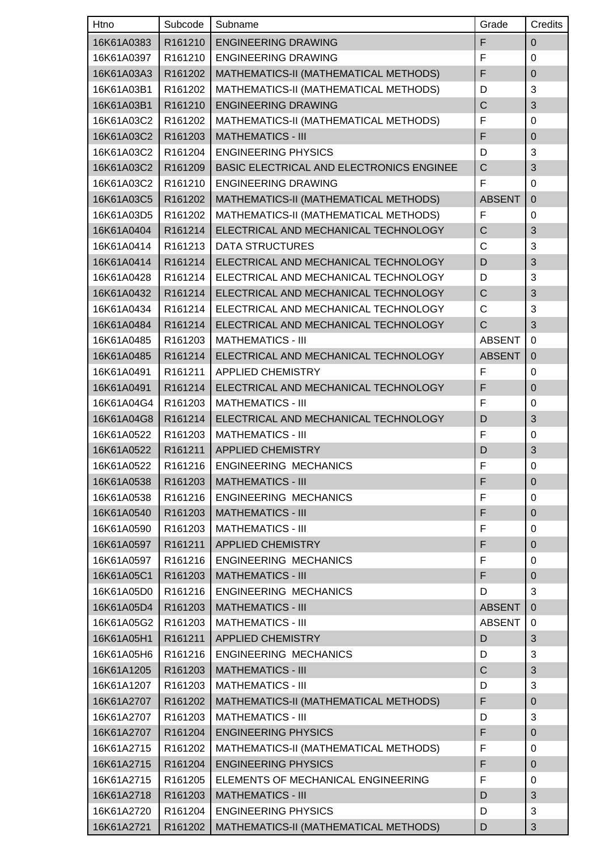| Htno       | Subcode | Subname                                  | Grade          | Credits          |
|------------|---------|------------------------------------------|----------------|------------------|
| 16K61A0383 | R161210 | <b>ENGINEERING DRAWING</b>               | F              | $\mathbf 0$      |
| 16K61A0397 | R161210 | <b>ENGINEERING DRAWING</b>               | F              | $\mathbf 0$      |
| 16K61A03A3 | R161202 | MATHEMATICS-II (MATHEMATICAL METHODS)    | F              | $\mathbf 0$      |
| 16K61A03B1 | R161202 | MATHEMATICS-II (MATHEMATICAL METHODS)    | D              | 3                |
| 16K61A03B1 | R161210 | <b>ENGINEERING DRAWING</b>               | $\overline{C}$ | 3                |
| 16K61A03C2 | R161202 | MATHEMATICS-II (MATHEMATICAL METHODS)    | F              | 0                |
| 16K61A03C2 | R161203 | <b>MATHEMATICS - III</b>                 | F              | $\overline{0}$   |
| 16K61A03C2 | R161204 | <b>ENGINEERING PHYSICS</b>               | D              | 3                |
| 16K61A03C2 | R161209 | BASIC ELECTRICAL AND ELECTRONICS ENGINEE | C              | 3                |
| 16K61A03C2 | R161210 | <b>ENGINEERING DRAWING</b>               | F              | $\mathbf 0$      |
| 16K61A03C5 | R161202 | MATHEMATICS-II (MATHEMATICAL METHODS)    | <b>ABSENT</b>  | $\mathbf 0$      |
| 16K61A03D5 | R161202 | MATHEMATICS-II (MATHEMATICAL METHODS)    | F              | 0                |
| 16K61A0404 | R161214 | ELECTRICAL AND MECHANICAL TECHNOLOGY     | C              | 3                |
| 16K61A0414 | R161213 | <b>DATA STRUCTURES</b>                   | C              | $\mathbf{3}$     |
| 16K61A0414 | R161214 | ELECTRICAL AND MECHANICAL TECHNOLOGY     | D              | 3                |
| 16K61A0428 | R161214 | ELECTRICAL AND MECHANICAL TECHNOLOGY     | D              | 3                |
| 16K61A0432 | R161214 | ELECTRICAL AND MECHANICAL TECHNOLOGY     | Ċ              | 3                |
| 16K61A0434 | R161214 | ELECTRICAL AND MECHANICAL TECHNOLOGY     | C              | 3                |
| 16K61A0484 | R161214 | ELECTRICAL AND MECHANICAL TECHNOLOGY     | C              | 3                |
| 16K61A0485 | R161203 | <b>MATHEMATICS - III</b>                 | <b>ABSENT</b>  | $\mathbf 0$      |
| 16K61A0485 | R161214 | ELECTRICAL AND MECHANICAL TECHNOLOGY     | <b>ABSENT</b>  | $\boldsymbol{0}$ |
| 16K61A0491 | R161211 | <b>APPLIED CHEMISTRY</b>                 | F              | 0                |
| 16K61A0491 | R161214 | ELECTRICAL AND MECHANICAL TECHNOLOGY     | F              | $\mathbf 0$      |
| 16K61A04G4 | R161203 | <b>MATHEMATICS - III</b>                 | F              | 0                |
| 16K61A04G8 | R161214 | ELECTRICAL AND MECHANICAL TECHNOLOGY     | D              | 3                |
| 16K61A0522 | R161203 | <b>MATHEMATICS - III</b>                 | F              | 0                |
| 16K61A0522 | R161211 | <b>APPLIED CHEMISTRY</b>                 | D              | 3                |
| 16K61A0522 |         | R161216   ENGINEERING MECHANICS          | F              | $\Omega$         |
| 16K61A0538 | R161203 | <b>MATHEMATICS - III</b>                 | F              | $\boldsymbol{0}$ |
| 16K61A0538 | R161216 | <b>ENGINEERING MECHANICS</b>             | F              | 0                |
| 16K61A0540 | R161203 | <b>MATHEMATICS - III</b>                 | F              | $\mathbf 0$      |
| 16K61A0590 | R161203 | <b>MATHEMATICS - III</b>                 | F              | $\pmb{0}$        |
| 16K61A0597 | R161211 | <b>APPLIED CHEMISTRY</b>                 | F              | $\mathbf 0$      |
| 16K61A0597 | R161216 | <b>ENGINEERING MECHANICS</b>             | F              | 0                |
| 16K61A05C1 | R161203 | <b>MATHEMATICS - III</b>                 | F              | $\boldsymbol{0}$ |
| 16K61A05D0 | R161216 | <b>ENGINEERING MECHANICS</b>             | D              | 3                |
| 16K61A05D4 | R161203 | <b>MATHEMATICS - III</b>                 | <b>ABSENT</b>  | $\mathbf 0$      |
| 16K61A05G2 | R161203 | <b>MATHEMATICS - III</b>                 | <b>ABSENT</b>  | 0                |
| 16K61A05H1 | R161211 | <b>APPLIED CHEMISTRY</b>                 | D              | 3                |
| 16K61A05H6 | R161216 | <b>ENGINEERING MECHANICS</b>             | D              | $\mathbf{3}$     |
| 16K61A1205 | R161203 | <b>MATHEMATICS - III</b>                 | C              | $\sqrt{3}$       |
| 16K61A1207 | R161203 | <b>MATHEMATICS - III</b>                 | D              | $\mathbf{3}$     |
| 16K61A2707 | R161202 | MATHEMATICS-II (MATHEMATICAL METHODS)    | F              | $\mathbf 0$      |
| 16K61A2707 | R161203 | <b>MATHEMATICS - III</b>                 | D              | 3                |
| 16K61A2707 | R161204 | <b>ENGINEERING PHYSICS</b>               | F              | $\mathbf 0$      |
| 16K61A2715 | R161202 | MATHEMATICS-II (MATHEMATICAL METHODS)    | F              | $\pmb{0}$        |
| 16K61A2715 | R161204 | <b>ENGINEERING PHYSICS</b>               | F              | $\pmb{0}$        |
| 16K61A2715 | R161205 | ELEMENTS OF MECHANICAL ENGINEERING       | F              | 0                |
| 16K61A2718 | R161203 | <b>MATHEMATICS - III</b>                 | D              | 3                |
| 16K61A2720 | R161204 | <b>ENGINEERING PHYSICS</b>               | D              | 3                |
| 16K61A2721 | R161202 | MATHEMATICS-II (MATHEMATICAL METHODS)    | D              | 3                |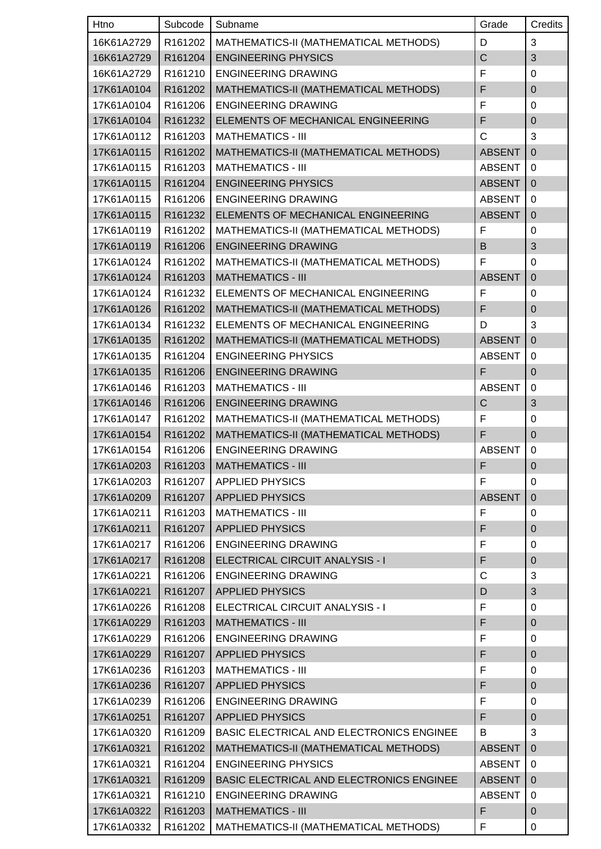| Htno       | Subcode | Subname                                         | Grade          | Credits        |
|------------|---------|-------------------------------------------------|----------------|----------------|
| 16K61A2729 | R161202 | MATHEMATICS-II (MATHEMATICAL METHODS)           | D              | 3              |
| 16K61A2729 | R161204 | <b>ENGINEERING PHYSICS</b>                      | $\overline{C}$ | 3              |
| 16K61A2729 | R161210 | <b>ENGINEERING DRAWING</b>                      | F              | $\mathbf 0$    |
| 17K61A0104 | R161202 | MATHEMATICS-II (MATHEMATICAL METHODS)           | F              | $\pmb{0}$      |
| 17K61A0104 | R161206 | <b>ENGINEERING DRAWING</b>                      | F              | 0              |
| 17K61A0104 | R161232 | ELEMENTS OF MECHANICAL ENGINEERING              | F              | $\overline{0}$ |
| 17K61A0112 | R161203 | <b>MATHEMATICS - III</b>                        | C              | 3              |
| 17K61A0115 | R161202 | MATHEMATICS-II (MATHEMATICAL METHODS)           | <b>ABSENT</b>  | $\mathbf 0$    |
| 17K61A0115 | R161203 | <b>MATHEMATICS - III</b>                        | <b>ABSENT</b>  | $\Omega$       |
| 17K61A0115 | R161204 | <b>ENGINEERING PHYSICS</b>                      | <b>ABSENT</b>  | $\mathbf 0$    |
| 17K61A0115 | R161206 | <b>ENGINEERING DRAWING</b>                      | <b>ABSENT</b>  | $\mathbf 0$    |
| 17K61A0115 | R161232 | ELEMENTS OF MECHANICAL ENGINEERING              | <b>ABSENT</b>  | $\mathbf 0$    |
| 17K61A0119 | R161202 | MATHEMATICS-II (MATHEMATICAL METHODS)           | F              | 0              |
| 17K61A0119 | R161206 | <b>ENGINEERING DRAWING</b>                      | B              | 3              |
| 17K61A0124 | R161202 | MATHEMATICS-II (MATHEMATICAL METHODS)           | F              | $\mathbf 0$    |
| 17K61A0124 | R161203 | <b>MATHEMATICS - III</b>                        | <b>ABSENT</b>  | $\mathbf 0$    |
| 17K61A0124 | R161232 | ELEMENTS OF MECHANICAL ENGINEERING              | F              | 0              |
| 17K61A0126 | R161202 | MATHEMATICS-II (MATHEMATICAL METHODS)           | F              | $\mathbf 0$    |
| 17K61A0134 | R161232 | ELEMENTS OF MECHANICAL ENGINEERING              | D              | 3              |
| 17K61A0135 | R161202 | MATHEMATICS-II (MATHEMATICAL METHODS)           | <b>ABSENT</b>  | $\mathbf 0$    |
| 17K61A0135 | R161204 | <b>ENGINEERING PHYSICS</b>                      | <b>ABSENT</b>  | 0              |
| 17K61A0135 | R161206 | <b>ENGINEERING DRAWING</b>                      | F              | $\mathbf 0$    |
| 17K61A0146 | R161203 | <b>MATHEMATICS - III</b>                        | <b>ABSENT</b>  | $\Omega$       |
| 17K61A0146 | R161206 | <b>ENGINEERING DRAWING</b>                      | C              | 3              |
| 17K61A0147 | R161202 | MATHEMATICS-II (MATHEMATICAL METHODS)           | F              | $\mathbf 0$    |
| 17K61A0154 | R161202 | MATHEMATICS-II (MATHEMATICAL METHODS)           | F              | $\mathbf 0$    |
| 17K61A0154 | R161206 | <b>ENGINEERING DRAWING</b>                      | <b>ABSENT</b>  | $\pmb{0}$      |
| 17K61A0203 |         | R161203   MATHEMATICS - III                     | F              | $\mathbf 0$    |
| 17K61A0203 | R161207 | <b>APPLIED PHYSICS</b>                          | F              | 0              |
| 17K61A0209 | R161207 | <b>APPLIED PHYSICS</b>                          | <b>ABSENT</b>  | $\mathbf 0$    |
| 17K61A0211 | R161203 | <b>MATHEMATICS - III</b>                        | F              | 0              |
| 17K61A0211 | R161207 | <b>APPLIED PHYSICS</b>                          | F              | $\pmb{0}$      |
| 17K61A0217 | R161206 | <b>ENGINEERING DRAWING</b>                      | F              | 0              |
| 17K61A0217 | R161208 | ELECTRICAL CIRCUIT ANALYSIS - I                 | F              | $\mathbf 0$    |
| 17K61A0221 | R161206 | <b>ENGINEERING DRAWING</b>                      | C              | 3              |
| 17K61A0221 | R161207 | <b>APPLIED PHYSICS</b>                          | D              | $\sqrt{3}$     |
| 17K61A0226 | R161208 | ELECTRICAL CIRCUIT ANALYSIS - I                 | F              | 0              |
| 17K61A0229 | R161203 | <b>MATHEMATICS - III</b>                        | F              | $\mathbf 0$    |
| 17K61A0229 | R161206 | <b>ENGINEERING DRAWING</b>                      | F              | 0              |
| 17K61A0229 | R161207 | <b>APPLIED PHYSICS</b>                          | F              | $\mathbf 0$    |
| 17K61A0236 | R161203 | <b>MATHEMATICS - III</b>                        | F              | 0              |
| 17K61A0236 | R161207 | <b>APPLIED PHYSICS</b>                          | F              | $\pmb{0}$      |
| 17K61A0239 | R161206 | <b>ENGINEERING DRAWING</b>                      | F              | 0              |
| 17K61A0251 | R161207 | <b>APPLIED PHYSICS</b>                          | F              | $\overline{0}$ |
| 17K61A0320 | R161209 | <b>BASIC ELECTRICAL AND ELECTRONICS ENGINEE</b> | B              | 3              |
| 17K61A0321 | R161202 | MATHEMATICS-II (MATHEMATICAL METHODS)           | <b>ABSENT</b>  | $\mathbf 0$    |
| 17K61A0321 | R161204 | <b>ENGINEERING PHYSICS</b>                      | <b>ABSENT</b>  | 0              |
| 17K61A0321 | R161209 | BASIC ELECTRICAL AND ELECTRONICS ENGINEE        | <b>ABSENT</b>  | $\overline{0}$ |
| 17K61A0321 | R161210 | <b>ENGINEERING DRAWING</b>                      | <b>ABSENT</b>  | 0              |
| 17K61A0322 | R161203 | <b>MATHEMATICS - III</b>                        | F              | $\mathbf 0$    |
| 17K61A0332 | R161202 | MATHEMATICS-II (MATHEMATICAL METHODS)           | F              | $\mathbf 0$    |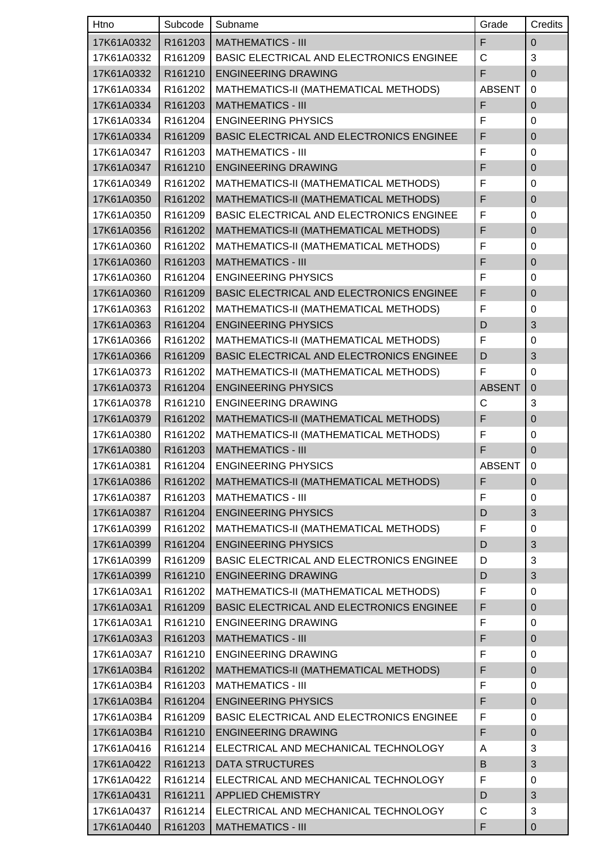| Htno       | Subcode | Subname                                         | Grade         | Credits          |
|------------|---------|-------------------------------------------------|---------------|------------------|
| 17K61A0332 | R161203 | <b>MATHEMATICS - III</b>                        | F             | $\mathbf 0$      |
| 17K61A0332 | R161209 | <b>BASIC ELECTRICAL AND ELECTRONICS ENGINEE</b> | C             | 3                |
| 17K61A0332 | R161210 | <b>ENGINEERING DRAWING</b>                      | F             | $\overline{0}$   |
| 17K61A0334 | R161202 | MATHEMATICS-II (MATHEMATICAL METHODS)           | <b>ABSENT</b> | $\Omega$         |
| 17K61A0334 | R161203 | <b>MATHEMATICS - III</b>                        | F             | $\overline{0}$   |
| 17K61A0334 | R161204 | <b>ENGINEERING PHYSICS</b>                      | F             | 0                |
| 17K61A0334 | R161209 | <b>BASIC ELECTRICAL AND ELECTRONICS ENGINEE</b> | F             | $\pmb{0}$        |
| 17K61A0347 | R161203 | <b>MATHEMATICS - III</b>                        | F             | 0                |
| 17K61A0347 | R161210 | <b>ENGINEERING DRAWING</b>                      | F             | $\pmb{0}$        |
| 17K61A0349 | R161202 | MATHEMATICS-II (MATHEMATICAL METHODS)           | F             | 0                |
| 17K61A0350 | R161202 | MATHEMATICS-II (MATHEMATICAL METHODS)           | F             | 0                |
| 17K61A0350 | R161209 | BASIC ELECTRICAL AND ELECTRONICS ENGINEE        | F             | $\Omega$         |
| 17K61A0356 | R161202 | MATHEMATICS-II (MATHEMATICAL METHODS)           | F             | $\mathbf 0$      |
| 17K61A0360 | R161202 | MATHEMATICS-II (MATHEMATICAL METHODS)           | F             | 0                |
| 17K61A0360 | R161203 | <b>MATHEMATICS - III</b>                        | F             | $\overline{0}$   |
| 17K61A0360 | R161204 | <b>ENGINEERING PHYSICS</b>                      | F             | 0                |
| 17K61A0360 | R161209 | BASIC ELECTRICAL AND ELECTRONICS ENGINEE        | F             | $\overline{0}$   |
| 17K61A0363 | R161202 | MATHEMATICS-II (MATHEMATICAL METHODS)           | F             | 0                |
| 17K61A0363 | R161204 | <b>ENGINEERING PHYSICS</b>                      | D             | 3                |
| 17K61A0366 | R161202 | MATHEMATICS-II (MATHEMATICAL METHODS)           | F             | $\mathbf 0$      |
| 17K61A0366 | R161209 | BASIC ELECTRICAL AND ELECTRONICS ENGINEE        | D             | 3                |
| 17K61A0373 | R161202 | MATHEMATICS-II (MATHEMATICAL METHODS)           | F             | $\mathbf 0$      |
| 17K61A0373 | R161204 | <b>ENGINEERING PHYSICS</b>                      | <b>ABSENT</b> | $\mathbf 0$      |
| 17K61A0378 | R161210 | <b>ENGINEERING DRAWING</b>                      | C             | 3                |
| 17K61A0379 | R161202 | MATHEMATICS-II (MATHEMATICAL METHODS)           | F             | $\overline{0}$   |
| 17K61A0380 | R161202 | MATHEMATICS-II (MATHEMATICAL METHODS)           | F             | 0                |
| 17K61A0380 | R161203 | <b>MATHEMATICS - III</b>                        | F             | $\mathbf 0$      |
| 17K61A0381 | R161204 | <b>ENGINEERING PHYSICS</b>                      | <b>ABSENT</b> | 0                |
| 17K61A0386 | R161202 | MATHEMATICS-II (MATHEMATICAL METHODS)           | F             | $\pmb{0}$        |
| 17K61A0387 | R161203 | <b>MATHEMATICS - III</b>                        | F             | $\mathbf 0$      |
| 17K61A0387 | R161204 | <b>ENGINEERING PHYSICS</b>                      | D             | 3                |
| 17K61A0399 | R161202 | MATHEMATICS-II (MATHEMATICAL METHODS)           | F             | 0                |
| 17K61A0399 | R161204 | <b>ENGINEERING PHYSICS</b>                      | D             | 3                |
| 17K61A0399 | R161209 | BASIC ELECTRICAL AND ELECTRONICS ENGINEE        | D             | 3                |
| 17K61A0399 | R161210 | <b>ENGINEERING DRAWING</b>                      | D             | 3                |
| 17K61A03A1 | R161202 | MATHEMATICS-II (MATHEMATICAL METHODS)           | F             | $\pmb{0}$        |
| 17K61A03A1 | R161209 | BASIC ELECTRICAL AND ELECTRONICS ENGINEE        | F             | $\overline{0}$   |
| 17K61A03A1 | R161210 | <b>ENGINEERING DRAWING</b>                      | F             | 0                |
| 17K61A03A3 | R161203 | <b>MATHEMATICS - III</b>                        | F             | $\boldsymbol{0}$ |
| 17K61A03A7 | R161210 | <b>ENGINEERING DRAWING</b>                      | F             | $\mathbf 0$      |
| 17K61A03B4 | R161202 | MATHEMATICS-II (MATHEMATICAL METHODS)           | F             | $\pmb{0}$        |
| 17K61A03B4 | R161203 | <b>MATHEMATICS - III</b>                        | F             | $\pmb{0}$        |
| 17K61A03B4 | R161204 | <b>ENGINEERING PHYSICS</b>                      | F             | $\mathbf 0$      |
| 17K61A03B4 | R161209 | BASIC ELECTRICAL AND ELECTRONICS ENGINEE        | F             | 0                |
| 17K61A03B4 | R161210 | <b>ENGINEERING DRAWING</b>                      | F             | $\mathbf 0$      |
| 17K61A0416 | R161214 | ELECTRICAL AND MECHANICAL TECHNOLOGY            | Α             | 3                |
| 17K61A0422 | R161213 | <b>DATA STRUCTURES</b>                          | B             | 3                |
| 17K61A0422 | R161214 | ELECTRICAL AND MECHANICAL TECHNOLOGY            | F             | 0                |
| 17K61A0431 | R161211 | <b>APPLIED CHEMISTRY</b>                        | D             | 3                |
| 17K61A0437 | R161214 | ELECTRICAL AND MECHANICAL TECHNOLOGY            | C             | 3                |
| 17K61A0440 | R161203 | <b>MATHEMATICS - III</b>                        | F             | 0                |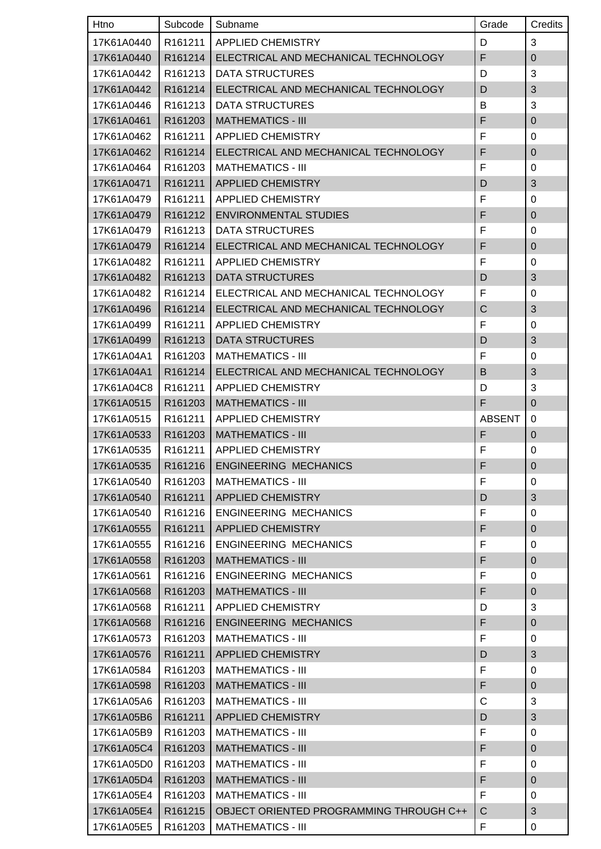| Htno       | Subcode             | Subname                                 | Grade         | Credits          |
|------------|---------------------|-----------------------------------------|---------------|------------------|
| 17K61A0440 | R161211             | <b>APPLIED CHEMISTRY</b>                | D             | 3                |
| 17K61A0440 | R161214             | ELECTRICAL AND MECHANICAL TECHNOLOGY    | F             | $\mathbf 0$      |
| 17K61A0442 | R161213             | <b>DATA STRUCTURES</b>                  | D             | 3                |
| 17K61A0442 | R161214             | ELECTRICAL AND MECHANICAL TECHNOLOGY    | D             | 3                |
| 17K61A0446 | R161213             | <b>DATA STRUCTURES</b>                  | B             | 3                |
| 17K61A0461 | R161203             | <b>MATHEMATICS - III</b>                | F             | $\overline{0}$   |
| 17K61A0462 | R <sub>161211</sub> | <b>APPLIED CHEMISTRY</b>                | F             | 0                |
| 17K61A0462 | R161214             | ELECTRICAL AND MECHANICAL TECHNOLOGY    | F             | $\mathbf 0$      |
| 17K61A0464 | R161203             | <b>MATHEMATICS - III</b>                | F             | 0                |
| 17K61A0471 | R161211             | <b>APPLIED CHEMISTRY</b>                | D             | 3                |
| 17K61A0479 | R161211             | <b>APPLIED CHEMISTRY</b>                | F             | 0                |
| 17K61A0479 | R161212             | <b>ENVIRONMENTAL STUDIES</b>            | F             | $\mathbf 0$      |
| 17K61A0479 | R161213             | <b>DATA STRUCTURES</b>                  | F             | 0                |
| 17K61A0479 | R161214             | ELECTRICAL AND MECHANICAL TECHNOLOGY    | F             | $\mathbf 0$      |
| 17K61A0482 | R161211             | <b>APPLIED CHEMISTRY</b>                | F             | 0                |
| 17K61A0482 | R161213             | <b>DATA STRUCTURES</b>                  | D             | 3                |
| 17K61A0482 | R <sub>161214</sub> | ELECTRICAL AND MECHANICAL TECHNOLOGY    | F             | 0                |
| 17K61A0496 | R161214             | ELECTRICAL AND MECHANICAL TECHNOLOGY    | C             | 3                |
| 17K61A0499 | R161211             | <b>APPLIED CHEMISTRY</b>                | F             | 0                |
| 17K61A0499 | R161213             | <b>DATA STRUCTURES</b>                  | D             | 3                |
| 17K61A04A1 | R161203             | <b>MATHEMATICS - III</b>                | F             | 0                |
| 17K61A04A1 | R161214             | ELECTRICAL AND MECHANICAL TECHNOLOGY    | B             | 3                |
| 17K61A04C8 | R <sub>161211</sub> | <b>APPLIED CHEMISTRY</b>                | D             | 3                |
| 17K61A0515 | R161203             | <b>MATHEMATICS - III</b>                | F             | $\overline{0}$   |
| 17K61A0515 | R161211             | <b>APPLIED CHEMISTRY</b>                | <b>ABSENT</b> | 0                |
| 17K61A0533 | R161203             | <b>MATHEMATICS - III</b>                | F             | $\boldsymbol{0}$ |
| 17K61A0535 | R161211             | <b>APPLIED CHEMISTRY</b>                | F             | $\mathbf 0$      |
| 17K61A0535 |                     | R161216   ENGINEERING MECHANICS         | F             | $\Omega$         |
| 17K61A0540 | R161203             | <b>MATHEMATICS - III</b>                | F             | 0                |
| 17K61A0540 | R161211             | <b>APPLIED CHEMISTRY</b>                | D             | 3                |
| 17K61A0540 | R161216             | <b>ENGINEERING MECHANICS</b>            | F             | 0                |
| 17K61A0555 | R161211             | <b>APPLIED CHEMISTRY</b>                | F             | $\boldsymbol{0}$ |
| 17K61A0555 | R161216             | <b>ENGINEERING MECHANICS</b>            | F             | 0                |
| 17K61A0558 | R161203             | <b>MATHEMATICS - III</b>                | F             | $\mathbf 0$      |
| 17K61A0561 | R161216             | <b>ENGINEERING MECHANICS</b>            | F             | 0                |
| 17K61A0568 | R161203             | <b>MATHEMATICS - III</b>                | F             | $\boldsymbol{0}$ |
| 17K61A0568 | R161211             | <b>APPLIED CHEMISTRY</b>                | D             | 3                |
| 17K61A0568 | R161216             | <b>ENGINEERING MECHANICS</b>            | F             | $\mathbf 0$      |
| 17K61A0573 | R161203             | <b>MATHEMATICS - III</b>                | F             | 0                |
| 17K61A0576 | R161211             | <b>APPLIED CHEMISTRY</b>                | D             | 3                |
| 17K61A0584 | R161203             | <b>MATHEMATICS - III</b>                | F             | 0                |
| 17K61A0598 | R161203             | <b>MATHEMATICS - III</b>                | F             | $\boldsymbol{0}$ |
| 17K61A05A6 | R161203             | <b>MATHEMATICS - III</b>                | С             | 3                |
| 17K61A05B6 | R161211             | <b>APPLIED CHEMISTRY</b>                | D             | 3                |
| 17K61A05B9 | R161203             | <b>MATHEMATICS - III</b>                | F             | 0                |
| 17K61A05C4 | R161203             | <b>MATHEMATICS - III</b>                | F             | $\boldsymbol{0}$ |
| 17K61A05D0 | R161203             | <b>MATHEMATICS - III</b>                | F             | 0                |
| 17K61A05D4 | R161203             | <b>MATHEMATICS - III</b>                | F             | $\mathbf 0$      |
| 17K61A05E4 | R161203             | <b>MATHEMATICS - III</b>                | F             | 0                |
| 17K61A05E4 | R161215             | OBJECT ORIENTED PROGRAMMING THROUGH C++ | C             | $\mathfrak{B}$   |
| 17K61A05E5 | R161203             | <b>MATHEMATICS - III</b>                | F             | 0                |